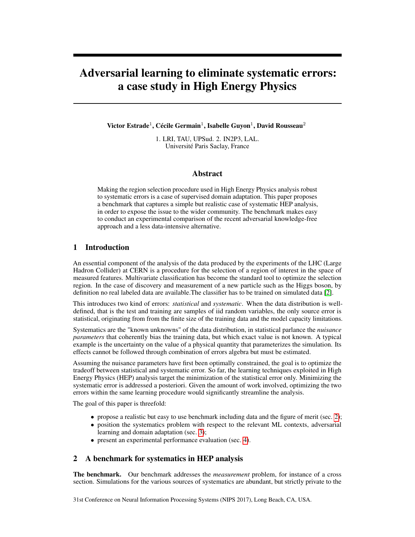# Adversarial learning to eliminate systematic errors: a case study in High Energy Physics

Victor Estrade $^1$ , Cécile Germain $^1$ , Isabelle Guyon $^1$ , David Rousseau $^2$ 

1. LRI, TAU, UPSud. 2. IN2P3, LAL. Université Paris Saclay, France

#### Abstract

Making the region selection procedure used in High Energy Physics analysis robust to systematic errors is a case of supervised domain adaptation. This paper proposes a benchmark that captures a simple but realistic case of systematic HEP analysis, in order to expose the issue to the wider community. The benchmark makes easy to conduct an experimental comparison of the recent adversarial knowledge-free approach and a less data-intensive alternative.

## 1 Introduction

An essential component of the analysis of the data produced by the experiments of the LHC (Large Hadron Collider) at CERN is a procedure for the selection of a region of interest in the space of measured features. Multivariate classification has become the standard tool to optimize the selection region. In the case of discovery and measurement of a new particle such as the Higgs boson, by definition no real labeled data are available.The classifier has to be trained on simulated data [\[2\]](#page-4-0).

This introduces two kind of errors: *statistical* and *systematic*. When the data distribution is welldefined, that is the test and training are samples of iid random variables, the only source error is statistical, originating from from the finite size of the training data and the model capacity limitations.

Systematics are the "known unknowns" of the data distribution, in statistical parlance the *nuisance parameters* that coherently bias the training data, but which exact value is not known. A typical example is the uncertainty on the value of a physical quantity that parameterizes the simulation. Its effects cannot be followed through combination of errors algebra but must be estimated.

Assuming the nuisance parameters have first been optimally constrained, the goal is to optimize the tradeoff between statistical and systematic error. So far, the learning techniques exploited in High Energy Physics (HEP) analysis target the minimization of the statistical error only. Minimizing the systematic error is addressed a posteriori. Given the amount of work involved, optimizing the two errors within the same learning procedure would significantly streamline the analysis.

The goal of this paper is threefold:

- propose a realistic but easy to use benchmark including data and the figure of merit (sec. [2\)](#page-0-0);
- position the systematics problem with respect to the relevant ML contexts, adversarial learning and domain adaptation (sec. [3\)](#page-1-0);
- present an experimental performance evaluation (sec. [4\)](#page-2-0).

## <span id="page-0-0"></span>2 A benchmark for systematics in HEP analysis

The benchmark. Our benchmark addresses the *measurement* problem, for instance of a cross section. Simulations for the various sources of systematics are abundant, but strictly private to the

31st Conference on Neural Information Processing Systems (NIPS 2017), Long Beach, CA, USA.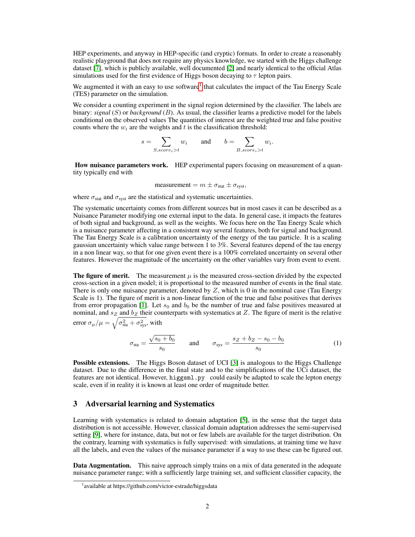HEP experiments, and anyway in HEP-specific (and cryptic) formats. In order to create a reasonably realistic playground that does not require any physics knowledge, we started with the Higgs challenge dataset [\[7\]](#page-4-1), which is publicly available, well documented [\[2\]](#page-4-0) and nearly identical to the official Atlas simulations used for the first evidence of Higgs boson decaying to  $\tau$  lepton pairs.

We augmented it with an easy to use software<sup>[1](#page-1-1)</sup> that calculates the impact of the Tau Energy Scale (TES) parameter on the simulation.

We consider a counting experiment in the signal region determined by the classifier. The labels are binary: *signal* (S) or *background* (B). As usual, the classifier learns a predictive model for the labels conditional on the observed values The quantities of interest are the weighted true and false positive counts where the  $w_i$  are the weights and t is the classification threshold:

$$
s = \sum_{S, score_i > t} w_i \quad \text{and} \quad b = \sum_{B, score_i > t} w_i.
$$

How nuisance parameters work. HEP experimental papers focusing on measurement of a quantity typically end with

$$
measurement = m \pm \sigma_{stat} \pm \sigma_{syst},
$$

where  $\sigma_{stat}$  and  $\sigma_{syst}$  are the statistical and systematic uncertainties.

The systematic uncertainty comes from different sources but in most cases it can be described as a Nuisance Parameter modifying one external input to the data. In general case, it impacts the features of both signal and background, as well as the weights. We focus here on the Tau Energy Scale which is a nuisance parameter affecting in a consistent way several features, both for signal and background. The Tau Energy Scale is a calibration uncertainty of the energy of the tau particle. It is a scaling gaussian uncertainty which value range between 1 to 3%. Several features depend of the tau energy in a non linear way, so that for one given event there is a 100% correlated uncertainty on several other features. However the magnitude of the uncertainty on the other variables vary from event to event.

The figure of merit. The measurement  $\mu$  is the measured cross-section divided by the expected cross-section in a given model; it is proportional to the measured number of events in the final state. There is only one nuisance parameter, denoted by  $Z$ , which is 0 in the nominal case (Tau Energy Scale is 1). The figure of merit is a non-linear function of the true and false positives that derives from error propagation [\[1\]](#page-4-2). Let  $s_0$  and  $b_0$  be the number of true and false positives measured at nominal, and  $s_Z$  and  $b_Z$  their counterparts with systematics at Z. The figure of merit is the relative error  $\sigma_{\mu}/\mu = \sqrt{\sigma_{\text{sta}}^2 + \sigma_{\text{sys}}^2}$ , with

$$
\sigma_{\text{sta}} = \frac{\sqrt{s_0 + b_0}}{s_0}
$$
 and  $\sigma_{\text{sys}} = \frac{s_Z + b_Z - s_0 - b_0}{s_0}$  (1)

**Possible extensions.** The Higgs Boson dataset of UCI [\[3\]](#page-4-3) is analogous to the Higgs Challenge dataset. Due to the difference in the final state and to the simplifications of the UCi dataset, the features are not identical. However, higgsml.py could easily be adapted to scale the lepton energy scale, even if in reality it is known at least one order of magnitude better.

## <span id="page-1-0"></span>3 Adversarial learning and Systematics

Learning with systematics is related to domain adaptation [\[5\]](#page-4-4), in the sense that the target data distribution is not accessible. However, classical domain adaptation addresses the semi-supervised setting [\[9\]](#page-4-5), where for instance, data, but not or few labels are available for the target distribution. On the contrary, learning with systematics is fully supervised: with simulations, at training time we have all the labels, and even the values of the nuisance parameter if a way to use these can be figured out.

Data Augmentation. This naive approach simply trains on a mix of data generated in the adequate nuisance parameter range; with a sufficiently large training set, and sufficient classifier capacity, the

<span id="page-1-1"></span><sup>&</sup>lt;sup>1</sup> available at https://github.com/victor-estrade/higgsdata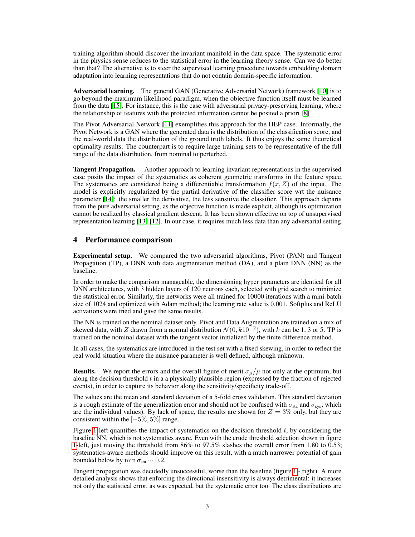training algorithm should discover the invariant manifold in the data space. The systematic error in the physics sense reduces to the statistical error in the learning theory sense. Can we do better than that? The alternative is to steer the supervised learning procedure towards embedding domain adaptation into learning representations that do not contain domain-specific information.

Adversarial learning. The general GAN (Generative Adversarial Network) framework [\[10\]](#page-4-6) is to go beyond the maximum likelihood paradigm, when the objective function itself must be learned from the data [\[15\]](#page-4-7). For instance, this is the case with adversarial privacy-preserving learning, where the relationship of features with the protected information cannot be posited a priori [\[8\]](#page-4-8).

The Pivot Adversarial Network [\[11\]](#page-4-9) exemplifies this approach for the HEP case. Informally, the Pivot Network is a GAN where the generated data is the distribution of the classification score, and the real-world data the distribution of the ground truth labels. It thus enjoys the same theoretical optimality results. The counterpart is to require large training sets to be representative of the full range of the data distribution, from nominal to perturbed.

Tangent Propagation. Another approach to learning invariant representations in the supervised case posits the impact of the systematics as coherent geometric transforms in the feature space. The systematics are considered being a differentiable transformation  $f(x, Z)$  of the input. The model is explicitly regularized by the partial derivative of the classifier score wrt the nuisance parameter [\[14\]](#page-4-10): the smaller the derivative, the less sensitive the classifier. This approach departs from the pure adversarial setting, as the objective function is made explicit, although its optimization cannot be realized by classical gradient descent. It has been shown effective on top of unsupervised representation learning [\[13\]](#page-4-11) [\[12\]](#page-4-12). In our case, it requires much less data than any adversarial setting.

#### <span id="page-2-0"></span>4 Performance comparison

Experimental setup. We compared the two adversarial algorithms, Pivot (PAN) and Tangent Propagation (TP), a DNN with data augmentation method (DA), and a plain DNN (NN) as the baseline.

In order to make the comparison manageable, the dimensioning hyper parameters are identical for all DNN architectures, with 3 hidden layers of 120 neurons each, selected with grid search to minimize the statistical error. Similarly, the networks were all trained for 10000 iterations with a mini-batch size of 1024 and optimized with Adam method; the learning rate value is 0.001. Softplus and ReLU activations were tried and gave the same results.

The NN is trained on the nominal dataset only. Pivot and Data Augmentation are trained on a mix of skewed data, with Z drawn from a normal distribution  $\mathcal{N}(0, k10^{-2})$ , with k can be 1, 3 or 5. TP is trained on the nominal dataset with the tangent vector initialized by the finite difference method.

In all cases, the systematics are introduced in the test set with a fixed skewing, in order to reflect the real world situation where the nuisance parameter is well defined, although unknown.

**Results.** We report the errors and the overall figure of merit  $\sigma_{\mu}/\mu$  not only at the optimum, but along the decision threshold  $t$  in a a physically plausible region (expressed by the fraction of rejected events), in order to capture its behavior along the sensitivity/specificity trade-off.

The values are the mean and standard deviation of a 5-fold cross validation. This standard deviation is a rough estimate of the generalization error and should not be confused with  $\sigma_{sta}$  and  $\sigma_{sys}$ , which are the individual values). By lack of space, the results are shown for  $Z = 3\%$  only, but they are consistent within the  $[-5\%, 5\%]$  range.

Figure [1-](#page-3-0)left quantifies the impact of systematics on the decision threshold  $t$ , by considering the baseline NN, which is not systematics aware. Even with the crude threshold selection shown in figure [1-](#page-3-0)left, just moving the threshold from 86% to 97.5% slashes the overall error from 1.80 to 0.53; systematics-aware methods should improve on this result, with a much narrower potential of gain bounded below by min  $\sigma_{sta} \sim 0.2$ .

Tangent propagation was decidedly unsuccessful, worse than the baseline (figure [1](#page-3-0) - right). A more detailed analysis shows that enforcing the directional insensitivity is always detrimental: it increases not only the statistical error, as was expected, but the systematic error too. The class distributions are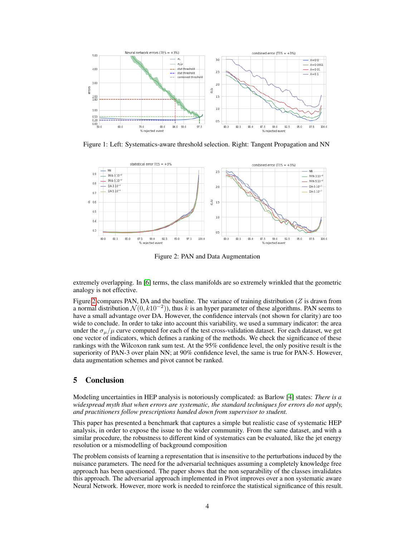

<span id="page-3-0"></span>Figure 1: Left: Systematics-aware threshold selection. Right: Tangent Propagation and NN



<span id="page-3-1"></span>Figure 2: PAN and Data Augmentation

extremely overlapping. In [\[6\]](#page-4-13) terms, the class manifolds are so extremely wrinkled that the geometric analogy is not effective.

Figure [2](#page-3-1) compares PAN, DA and the baseline. The variance of training distribution ( $Z$  is drawn from a normal distribution  $\mathcal{N}(0, k10^{-2})$ ), thus k is an hyper parameter of these algorithms. PAN seems to have a small advantage over DA. However, the confidence intervals (not shown for clarity) are too wide to conclude. In order to take into account this variability, we used a summary indicator: the area under the  $\sigma_{\mu}/\mu$  curve computed for each of the test cross-validation dataset. For each dataset, we get one vector of indicators, which defines a ranking of the methods. We check the significance of these rankings with the Wilcoxon rank sum test. At the 95% confidence level, the only positive result is the superiority of PAN-3 over plain NN; at  $90\%$  confidence level, the same is true for PAN-5. However, data augmentation schemes and pivot cannot be ranked.

# 5 Conclusion

Modeling uncertainties in HEP analysis is notoriously complicated: as Barlow [\[4\]](#page-4-14) states: *There is a widespread myth that when errors are systematic, the standard techniques for errors do not apply, and practitioners follow prescriptions handed down from supervisor to student.*

This paper has presented a benchmark that captures a simple but realistic case of systematic HEP analysis, in order to expose the issue to the wider community. From the same dataset, and with a similar procedure, the robustness to different kind of systematics can be evaluated, like the jet energy resolution or a mismodelling of background composition

The problem consists of learning a representation that is insensitive to the perturbations induced by the nuisance parameters. The need for the adversarial techniques assuming a completely knowledge free approach has been questioned. The paper shows that the non separability of the classes invalidates this approach. The adversarial approach implemented in Pivot improves over a non systematic aware Neural Network. However, more work is needed to reinforce the statistical significance of this result.